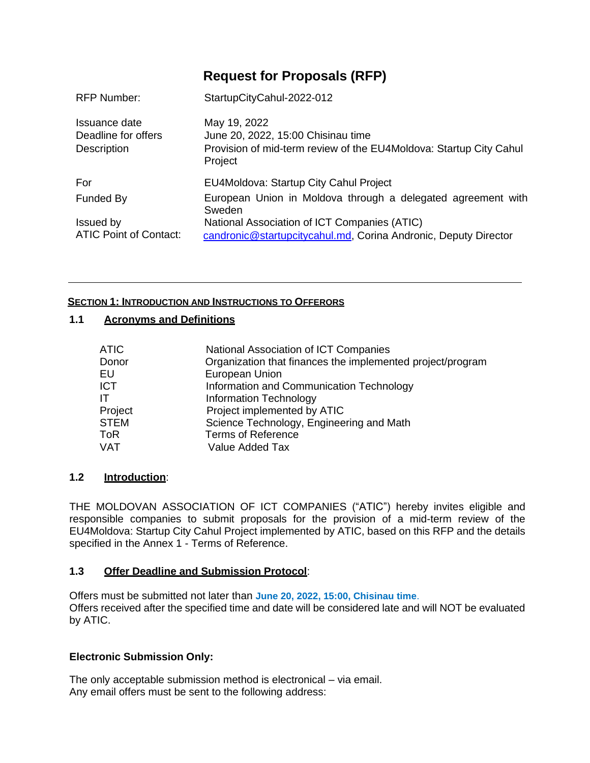# **Request for [Proposals](https://www.mcc.gov/resources/doc/sbd-template-for-procurement-of-consulting-services) (RFP)**

| <b>RFP Number:</b>                                         | StartupCityCahul-2022-012                                                                                                           |
|------------------------------------------------------------|-------------------------------------------------------------------------------------------------------------------------------------|
| Issuance date<br>Deadline for offers<br><b>Description</b> | May 19, 2022<br>June 20, 2022, 15:00 Chisinau time<br>Provision of mid-term review of the EU4Moldova: Startup City Cahul<br>Project |
| For                                                        | EU4Moldova: Startup City Cahul Project                                                                                              |
| Funded By                                                  | European Union in Moldova through a delegated agreement with<br>Sweden                                                              |
| Issued by<br><b>ATIC Point of Contact:</b>                 | National Association of ICT Companies (ATIC)<br>candronic@startupcitycahul.md, Corina Andronic, Deputy Director                     |

## **SECTION 1: INTRODUCTION AND INSTRUCTIONS TO OFFERORS**

## **1.1 Acronyms and Definitions**

| ATIC        | National Association of ICT Companies                      |
|-------------|------------------------------------------------------------|
| Donor       | Organization that finances the implemented project/program |
| EU          | European Union                                             |
| <b>ICT</b>  | Information and Communication Technology                   |
| IΤ          | Information Technology                                     |
| Project     | Project implemented by ATIC                                |
| <b>STEM</b> | Science Technology, Engineering and Math                   |
| ToR         | <b>Terms of Reference</b>                                  |
| <b>VAT</b>  | Value Added Tax                                            |

## **1.2 Introduction**:

THE MOLDOVAN ASSOCIATION OF ICT COMPANIES ("ATIC") hereby invites eligible and responsible companies to submit proposals for the provision of a mid-term review of the EU4Moldova: Startup City Cahul Project implemented by ATIC, based on this RFP and the details specified in the Annex 1 - Terms of Reference.

## **1.3 Offer Deadline and Submission Protocol**:

Offers must be submitted not later than **June 20, 2022, 15:00, Chisinau time**. Offers received after the specified time and date will be considered late and will NOT be evaluated by ATIC.

## **Electronic Submission Only:**

The only acceptable submission method is electronical – via email. Any email offers must be sent to the following address: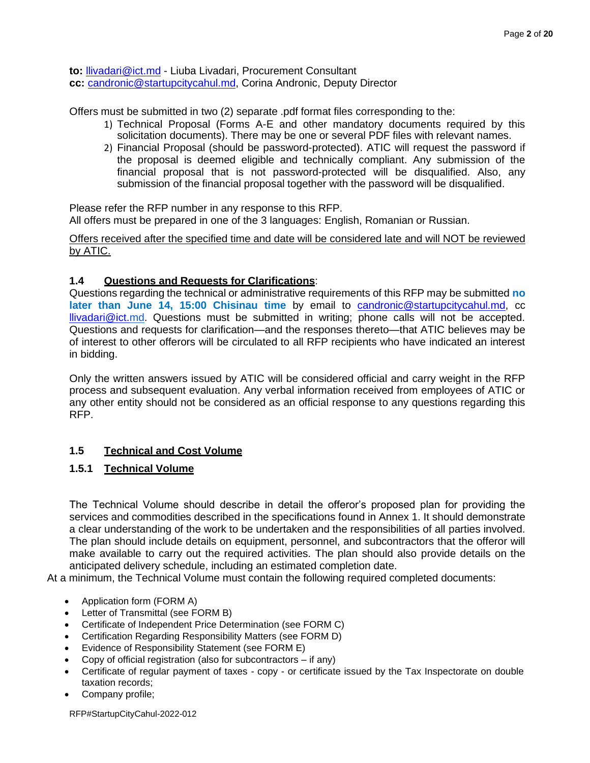**to:** [llivadari@ict.md](mailto:llivadari@ict.md) - Liuba Livadari, Procurement Consultant **cc:** [candronic@startupcitycahul.md,](mailto:candronic@startupcitycahul.md) Corina Andronic, Deputy Director

Offers must be submitted in two (2) separate .pdf format files corresponding to the:

- 1) Technical Proposal (Forms A-E and other mandatory documents required by this solicitation documents). There may be one or several PDF files with relevant names.
- 2) Financial Proposal (should be password-protected). ATIC will request the password if the proposal is deemed eligible and technically compliant. Any submission of the financial proposal that is not password-protected will be disqualified. Also, any submission of the financial proposal together with the password will be disqualified.

Please refer the RFP number in any response to this RFP. All offers must be prepared in one of the 3 languages: English, Romanian or Russian.

Offers received after the specified time and date will be considered late and will NOT be reviewed by ATIC.

## **1.4 Questions and Requests for Clarifications**:

Questions regarding the technical or administrative requirements of this RFP may be submitted **no**  later than June 14, 15:00 Chisinau time by email to [candronic@startupcitycahul.md,](mailto:candronic@startupcitycahul.md) cc [llivadari@ict.](mailto:llivadari@ict.)[md.](mailto:llivadari@ict.md) Questions must be submitted in writing; phone calls will not be accepted. Questions and requests for clarification—and the responses thereto—that ATIC believes may be of interest to other offerors will be circulated to all RFP recipients who have indicated an interest in bidding.

Only the written answers issued by ATIC will be considered official and carry weight in the RFP process and subsequent evaluation. Any verbal information received from employees of ATIC or any other entity should not be considered as an official response to any questions regarding this RFP.

## **1.5 Technical and Cost Volume**

## **1.5.1 Technical Volume**

The Technical Volume should describe in detail the offeror's proposed plan for providing the services and commodities described in the specifications found in Annex 1. It should demonstrate a clear understanding of the work to be undertaken and the responsibilities of all parties involved. The plan should include details on equipment, personnel, and subcontractors that the offeror will make available to carry out the required activities. The plan should also provide details on the anticipated delivery schedule, including an estimated completion date.

At a minimum, the Technical Volume must contain the following required completed documents:

- Application form (FORM A)
- Letter of Transmittal (see FORM B)
- Certificate of Independent Price Determination (see FORM C)
- Certification Regarding Responsibility Matters (see FORM D)
- Evidence of Responsibility Statement (see FORM E)
- Copy of official registration (also for subcontractors if any)
- Certificate of regular payment of taxes copy or certificate issued by the Tax Inspectorate on double taxation records;
- Company profile;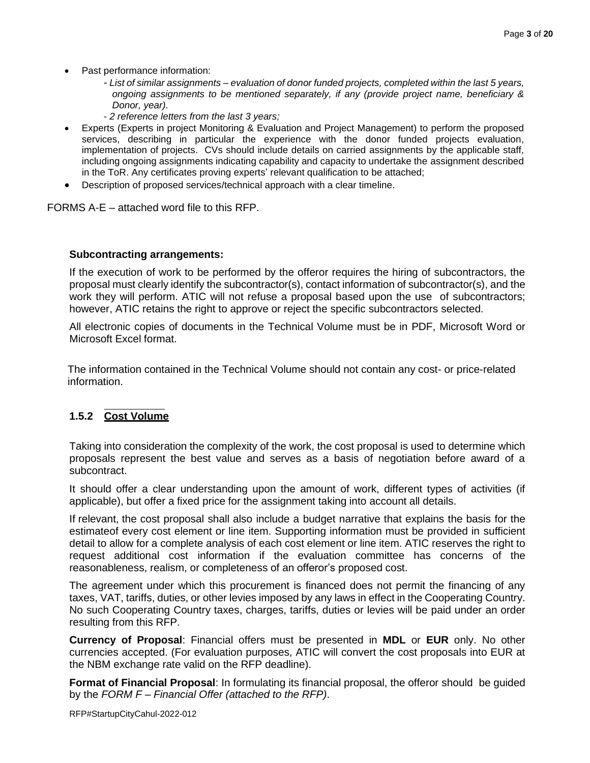- Past performance information:
	- *- List of similar assignments – evaluation of donor funded projects, completed within the last 5 years, ongoing assignments to be mentioned separately, if any (provide project name, beneficiary & Donor, year).*
	- *- 2 reference letters from the last 3 years;*
- Experts (Experts in project Monitoring & Evaluation and Project Management) to perform the proposed services, describing in particular the experience with the donor funded projects evaluation, implementation of projects. CVs should include details on carried assignments by the applicable staff, including ongoing assignments indicating capability and capacity to undertake the assignment described in the ToR. Any certificates proving experts' relevant qualification to be attached;
- Description of proposed services/technical approach with a clear timeline.

FORMS A-E – attached word file to this RFP.

#### **Subcontracting arrangements:**

If the execution of work to be performed by the offeror requires the hiring of subcontractors, the proposal must clearly identify the subcontractor(s), contact information of subcontractor(s), and the work they will perform. ATIC will not refuse a proposal based upon the use of subcontractors; however, ATIC retains the right to approve or reject the specific subcontractors selected.

All electronic copies of documents in the Technical Volume must be in PDF, Microsoft Word or Microsoft Excel format.

The information contained in the Technical Volume should not contain any cost- or price-related information.

#### **1.5.1** Cost Volume **1.5.2 Cost Volume**

Taking into consideration the complexity of the work, the cost proposal is used to determine which proposals represent the best value and serves as a basis of negotiation before award of a subcontract.

It should offer a clear understanding upon the amount of work, different types of activities (if applicable), but offer a fixed price for the assignment taking into account all details.

If relevant, the cost proposal shall also include a budget narrative that explains the basis for the estimateof every cost element or line item. Supporting information must be provided in sufficient detail to allow for a complete analysis of each cost element or line item. ATIC reserves the right to request additional cost information if the evaluation committee has concerns of the reasonableness, realism, or completeness of an offeror's proposed cost.

The agreement under which this procurement is financed does not permit the financing of any taxes, VAT, tariffs, duties, or other levies imposed by any laws in effect in the Cooperating Country. No such Cooperating Country taxes, charges, tariffs, duties or levies will be paid under an order resulting from this RFP.

**Currency of Proposal**: Financial offers must be presented in **MDL** or **EUR** only. No other currencies accepted. (For evaluation purposes, ATIC will convert the cost proposals into EUR at the NBM exchange rate valid on the RFP deadline).

**Format of Financial Proposal**: In formulating its financial proposal, the offeror should be guided by the *FORM F – Financial Offer (attached to the RFP)*.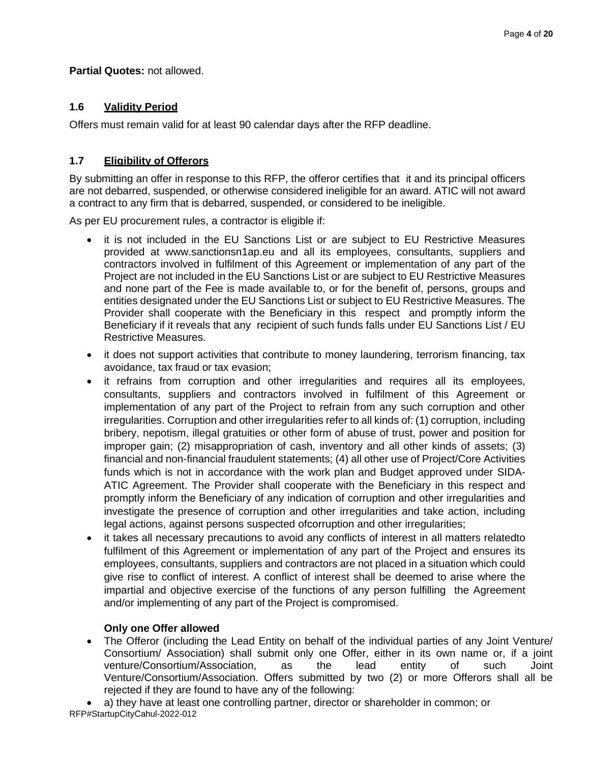**Partial Quotes:** not allowed.

## **1.6 Validity Period**

Offers must remain valid for at least 90 calendar days after the RFP deadline.

## **1.7 Eligibility of Offerors**

By submitting an offer in response to this RFP, the offeror certifies that it and its principal officers are not debarred, suspended, or otherwise considered ineligible for an award. ATIC will not award a contract to any firm that is debarred, suspended, or considered to be ineligible.

As per EU procurement rules, a contractor is eligible if:

- it is not included in the EU Sanctions List or are subject to EU Restrictive Measures provided at [www.sanctionsn1ap.eu](http://www.sanctionsn1ap.eu/) and all its employees, consultants, suppliers and contractors involved in fulfilment of this Agreement or implementation of any part of the Project are not included in the EU Sanctions List or are subject to EU Restrictive Measures and none part of the Fee is made available to, or for the benefit of, persons, groups and entities designated under the EU Sanctions List or subject to EU Restrictive Measures. The Provider shall cooperate with the Beneficiary in this respect and promptly inform the Beneficiary if it reveals that any recipient of such funds falls under EU Sanctions List / EU Restrictive Measures.
- it does not support activities that contribute to money laundering, terrorism financing, tax avoidance, tax fraud or tax evasion;
- it refrains from corruption and other irregularities and requires all its employees, consultants, suppliers and contractors involved in fulfilment of this Agreement or implementation of any part of the Project to refrain from any such corruption and other irregularities. Corruption and other irregularities refer to all kinds of: (1) corruption, including bribery, nepotism, illegal gratuities or other form of abuse of trust, power and position for improper gain; (2) misappropriation of cash, inventory and all other kinds of assets; (3) financial and non-financial fraudulent statements; (4) all other use of Project/Core Activities funds which is not in accordance with the work plan and Budget approved under SIDA-ATIC Agreement. The Provider shall cooperate with the Beneficiary in this respect and promptly inform the Beneficiary of any indication of corruption and other irregularities and investigate the presence of corruption and other irregularities and take action, including legal actions, against persons suspected ofcorruption and other irregularities;
- it takes all necessary precautions to avoid any conflicts of interest in all matters relatedto fulfilment of this Agreement or implementation of any part of the Project and ensures its employees, consultants, suppliers and contractors are not placed in a situation which could give rise to conflict of interest. A conflict of interest shall be deemed to arise where the impartial and objective exercise of the functions of any person fulfilling the Agreement and/or implementing of any part of the Project is compromised.

## **Only one Offer allowed**

• The Offeror (including the Lead Entity on behalf of the individual parties of any Joint Venture/ Consortium/ Association) shall submit only one Offer, either in its own name or, if a joint venture/Consortium/Association, as the lead entity of such Joint Venture/Consortium/Association. Offers submitted by two (2) or more Offerors shall all be rejected if they are found to have any of the following:

RFP#StartupCityCahul-2022-012 • a) they have at least one controlling partner, director or shareholder in common; or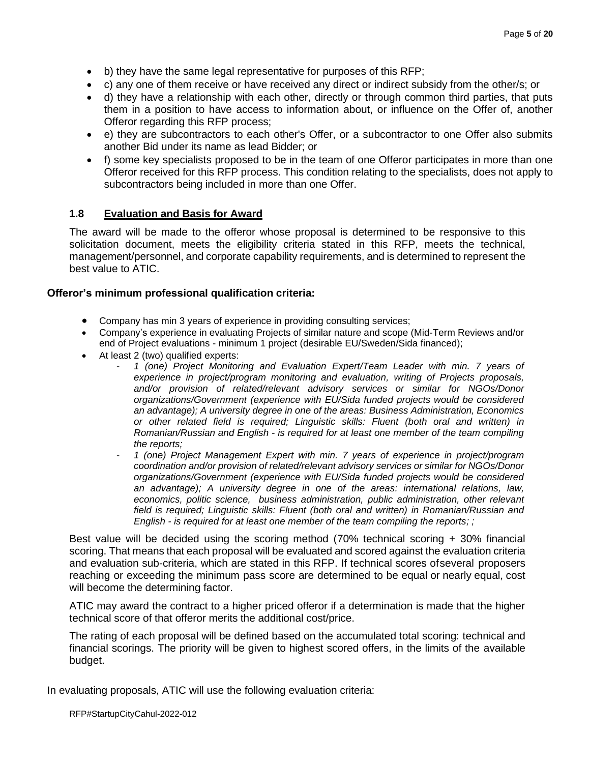- b) they have the same legal representative for purposes of this RFP;
- c) any one of them receive or have received any direct or indirect subsidy from the other/s; or
- d) they have a relationship with each other, directly or through common third parties, that puts them in a position to have access to information about, or influence on the Offer of, another Offeror regarding this RFP process;
- e) they are subcontractors to each other's Offer, or a subcontractor to one Offer also submits another Bid under its name as lead Bidder; or
- f) some key specialists proposed to be in the team of one Offeror participates in more than one Offeror received for this RFP process. This condition relating to the specialists, does not apply to subcontractors being included in more than one Offer.

### **1.8 Evaluation and Basis for Award**

The award will be made to the offeror whose proposal is determined to be responsive to this solicitation document, meets the eligibility criteria stated in this RFP, meets the technical, management/personnel, and corporate capability requirements, and is determined to represent the best value to ATIC.

#### **Offeror's minimum professional qualification criteria:**

- Company has min 3 years of experience in providing consulting services;
- Company's experience in evaluating Projects of similar nature and scope (Mid-Term Reviews and/or end of Project evaluations - minimum 1 project (desirable EU/Sweden/Sida financed);
- At least 2 (two) qualified experts:
	- *1 (one) Project Monitoring and Evaluation Expert/Team Leader with min. 7 years of experience in project/program monitoring and evaluation, writing of Projects proposals, and/or provision of related/relevant advisory services or similar for NGOs/Donor organizations/Government (experience with EU/Sida funded projects would be considered an advantage); A university degree in one of the areas: Business Administration, Economics or other related field is required; Linguistic skills: Fluent (both oral and written) in Romanian/Russian and English - is required for at least one member of the team compiling the reports;*
	- *1 (one) Project Management Expert with min. 7 years of experience in project/program coordination and/or provision of related/relevant advisory services or similar for NGOs/Donor organizations/Government (experience with EU/Sida funded projects would be considered an advantage); A university degree in one of the areas: international relations, law, economics, politic science, business administration, public administration, other relevant field is required; Linguistic skills: Fluent (both oral and written) in Romanian/Russian and English - is required for at least one member of the team compiling the reports; ;*

Best value will be decided using the scoring method (70% technical scoring + 30% financial scoring. That means that each proposal will be evaluated and scored against the evaluation criteria and evaluation sub-criteria, which are stated in this RFP. If technical scores of several proposers reaching or exceeding the minimum pass score are determined to be equal or nearly equal, cost will become the determining factor.

ATIC may award the contract to a higher priced offeror if a determination is made that the higher technical score of that offeror merits the additional cost/price.

The rating of each proposal will be defined based on the accumulated total scoring: technical and financial scorings. The priority will be given to highest scored offers, in the limits of the available budget.

In evaluating proposals, ATIC will use the following evaluation criteria: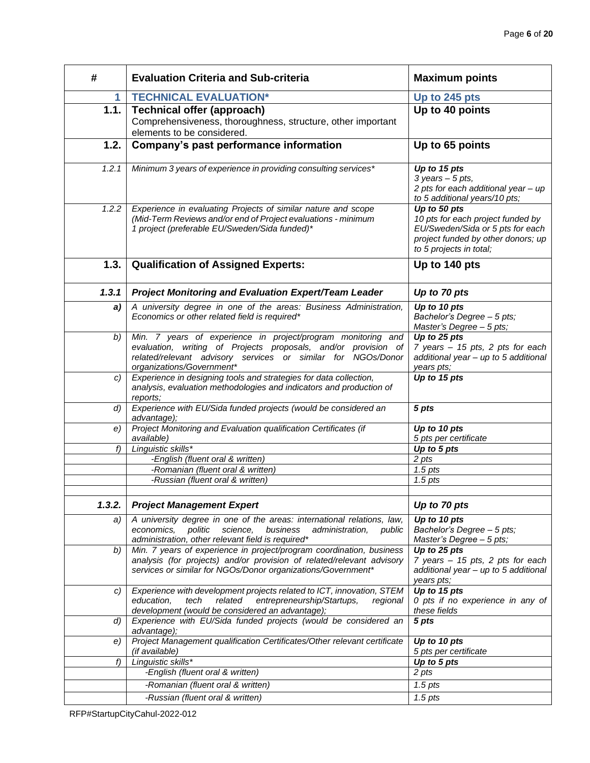| #                  | <b>Evaluation Criteria and Sub-criteria</b>                                                                                                                                                                                 | <b>Maximum points</b>                                                                                                                                  |
|--------------------|-----------------------------------------------------------------------------------------------------------------------------------------------------------------------------------------------------------------------------|--------------------------------------------------------------------------------------------------------------------------------------------------------|
| 1.                 | <b>TECHNICAL EVALUATION*</b>                                                                                                                                                                                                | Up to 245 pts                                                                                                                                          |
| 1.1.               | <b>Technical offer (approach)</b><br>Comprehensiveness, thoroughness, structure, other important<br>elements to be considered.                                                                                              | Up to 40 points                                                                                                                                        |
| 1.2.               | Company's past performance information                                                                                                                                                                                      | Up to 65 points                                                                                                                                        |
| 1.2.1              | Minimum 3 years of experience in providing consulting services*                                                                                                                                                             | Up to 15 pts<br>$3 \text{ years} - 5 \text{ pts},$<br>2 pts for each additional year - up<br>to 5 additional years/10 pts;                             |
| 1.2.2              | Experience in evaluating Projects of similar nature and scope<br>(Mid-Term Reviews and/or end of Project evaluations - minimum<br>1 project (preferable EU/Sweden/Sida funded)*                                             | Up to 50 pts<br>10 pts for each project funded by<br>EU/Sweden/Sida or 5 pts for each<br>project funded by other donors; up<br>to 5 projects in total; |
| 1.3.               | <b>Qualification of Assigned Experts:</b>                                                                                                                                                                                   | Up to 140 pts                                                                                                                                          |
| 1.3.1              | <b>Project Monitoring and Evaluation Expert/Team Leader</b>                                                                                                                                                                 | Up to 70 pts                                                                                                                                           |
| a)                 | A university degree in one of the areas: Business Administration,<br>Economics or other related field is required*                                                                                                          | Up to 10 pts<br>Bachelor's Degree - 5 pts;<br>Master's Degree - 5 pts;                                                                                 |
| b)                 | Min. 7 years of experience in project/program monitoring and<br>evaluation, writing of Projects proposals, and/or provision of<br>related/relevant advisory services or similar for NGOs/Donor<br>organizations/Government* | Up to 25 pts<br>7 years - 15 pts, 2 pts for each<br>additional year - up to 5 additional<br>years pts;                                                 |
| C)                 | Experience in designing tools and strategies for data collection,<br>analysis, evaluation methodologies and indicators and production of<br>reports:                                                                        | Up to 15 pts                                                                                                                                           |
| $\left( d \right)$ | Experience with EU/Sida funded projects (would be considered an<br>advantage);                                                                                                                                              | 5 pts                                                                                                                                                  |
| e)                 | Project Monitoring and Evaluation qualification Certificates (if<br>available)                                                                                                                                              | Up to 10 pts<br>5 pts per certificate                                                                                                                  |
| f)                 | Linguistic skills*                                                                                                                                                                                                          | Up to 5 pts                                                                                                                                            |
|                    | -English (fluent oral & written)                                                                                                                                                                                            | 2 pts                                                                                                                                                  |
|                    | -Romanian (fluent oral & written)                                                                                                                                                                                           | $1.5$ pts                                                                                                                                              |
|                    | -Russian (fluent oral & written)                                                                                                                                                                                            | $1.5$ pts                                                                                                                                              |
| 1.3.2.             | <b>Project Management Expert</b>                                                                                                                                                                                            | Up to 70 pts                                                                                                                                           |
| a)                 | A university degree in one of the areas: international relations, law,                                                                                                                                                      | Up to 10 pts                                                                                                                                           |
|                    | economics,<br>politic<br>science,<br>business<br>administration,<br>public                                                                                                                                                  | Bachelor's Degree - 5 pts;                                                                                                                             |
|                    | administration, other relevant field is required*                                                                                                                                                                           | Master's Degree $-5$ pts;                                                                                                                              |
| b)                 | Min. 7 years of experience in project/program coordination, business<br>analysis (for projects) and/or provision of related/relevant advisory<br>services or similar for NGOs/Donor organizations/Government*               | Up to 25 pts<br>7 years - 15 pts, 2 pts for each<br>additional year - up to 5 additional<br>years pts;                                                 |
| C)                 | Experience with development projects related to ICT, innovation, STEM<br>education,<br>related<br>entrepreneurship/Startups,<br>tech<br>regional<br>development (would be considered an advantage);                         | Up to 15 pts<br>0 pts if no experience in any of<br>these fields                                                                                       |
| d)                 | Experience with EU/Sida funded projects (would be considered an<br>advantage);                                                                                                                                              | 5 pts                                                                                                                                                  |
| e)                 | Project Management qualification Certificates/Other relevant certificate<br>(if available)                                                                                                                                  | Up to 10 pts<br>5 pts per certificate                                                                                                                  |
| f)                 | Linguistic skills*                                                                                                                                                                                                          | Up to 5 pts                                                                                                                                            |
|                    | -English (fluent oral & written)                                                                                                                                                                                            | 2 pts                                                                                                                                                  |
|                    | -Romanian (fluent oral & written)                                                                                                                                                                                           | $1.5$ pts                                                                                                                                              |
|                    | -Russian (fluent oral & written)                                                                                                                                                                                            | $1.5$ pts                                                                                                                                              |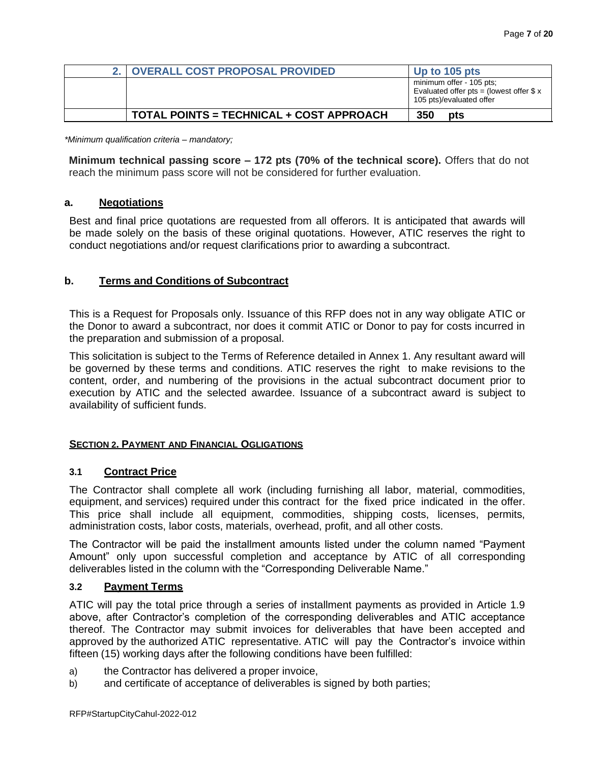| 2. OVERALL COST PROPOSAL PROVIDED        | Up to 105 pts                                                                                    |
|------------------------------------------|--------------------------------------------------------------------------------------------------|
|                                          | minimum offer - 105 pts;<br>Evaluated offer pts = (lowest offer $$x$<br>105 pts)/evaluated offer |
| TOTAL POINTS = TECHNICAL + COST APPROACH | 350<br>pts                                                                                       |

*\*Minimum qualification criteria – mandatory;*

**Minimum technical passing score – 172 pts (70% of the technical score).** Offers that do not reach the minimum pass score will not be considered for further evaluation.

#### **a. Negotiations**

Best and final price quotations are requested from all offerors. It is anticipated that awards will be made solely on the basis of these original quotations. However, ATIC reserves the right to conduct negotiations and/or request clarifications prior to awarding a subcontract.

### **b. Terms and Conditions of Subcontract**

This is a Request for Proposals only. Issuance of this RFP does not in any way obligate ATIC or the Donor to award a subcontract, nor does it commit ATIC or Donor to pay for costs incurred in the preparation and submission of a proposal.

This solicitation is subject to the Terms of Reference detailed in Annex 1. Any resultant award will be governed by these terms and conditions. ATIC reserves the right to make revisions to the content, order, and numbering of the provisions in the actual subcontract document prior to execution by ATIC and the selected awardee. Issuance of a subcontract award is subject to availability of sufficient funds.

### **SECTION 2. PAYMENT AND FINANCIAL OGLIGATIONS**

### **3.1 Contract Price**

The Contractor shall complete all work (including furnishing all labor, material, commodities, equipment, and services) required under this contract for the fixed price indicated in the offer. This price shall include all equipment, commodities, shipping costs, licenses, permits, administration costs, labor costs, materials, overhead, profit, and all other costs.

The Contractor will be paid the installment amounts listed under the column named "Payment Amount" only upon successful completion and acceptance by ATIC of all corresponding deliverables listed in the column with the "Corresponding Deliverable Name."

#### **3.2 Payment Terms**

ATIC will pay the total price through a series of installment payments as provided in Article 1.9 above, after Contractor's completion of the corresponding deliverables and ATIC acceptance thereof. The Contractor may submit invoices for deliverables that have been accepted and approved by the authorized ATIC representative. ATIC will pay the Contractor's invoice within fifteen (15) working days after the following conditions have been fulfilled:

- a) the Contractor has delivered a proper invoice,
- b) and certificate of acceptance of deliverables is signed by both parties;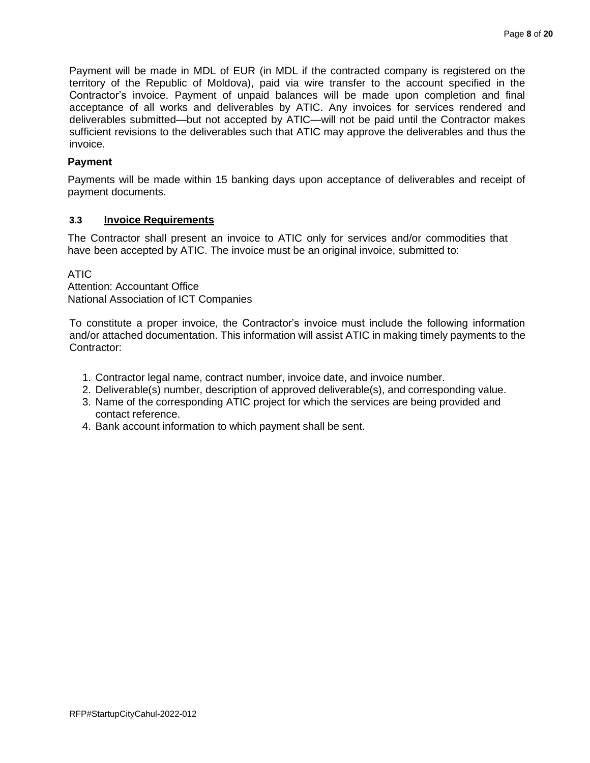Payment will be made in MDL of EUR (in MDL if the contracted company is registered on the territory of the Republic of Moldova), paid via wire transfer to the account specified in the Contractor's invoice. Payment of unpaid balances will be made upon completion and final acceptance of all works and deliverables by ATIC. Any invoices for services rendered and deliverables submitted—but not accepted by ATIC—will not be paid until the Contractor makes sufficient revisions to the deliverables such that ATIC may approve the deliverables and thus the invoice.

## **Payment**

Payments will be made within 15 banking days upon acceptance of deliverables and receipt of payment documents.

## **3.3 Invoice Requirements**

The Contractor shall present an invoice to ATIC only for services and/or commodities that have been accepted by ATIC. The invoice must be an original invoice, submitted to:

ATIC

Attention: Accountant Office National Association of ICT Companies

To constitute a proper invoice, the Contractor's invoice must include the following information and/or attached documentation. This information will assist ATIC in making timely payments to the Contractor:

- 1. Contractor legal name, contract number, invoice date, and invoice number.
- 2. Deliverable(s) number, description of approved deliverable(s), and corresponding value.
- 3. Name of the corresponding ATIC project for which the services are being provided and contact reference.
- 4. Bank account information to which payment shall be sent.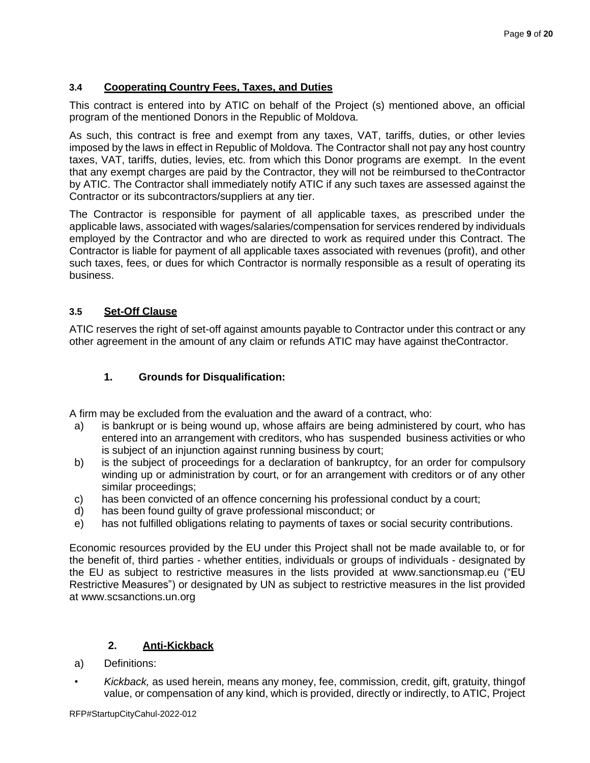## **3.4 Cooperating Country Fees, Taxes, and Duties**

This contract is entered into by ATIC on behalf of the Project (s) mentioned above, an official program of the mentioned Donors in the Republic of Moldova.

As such, this contract is free and exempt from any taxes, VAT, tariffs, duties, or other levies imposed by the laws in effect in Republic of Moldova. The Contractor shall not pay any host country taxes, VAT, tariffs, duties, levies, etc. from which this Donor programs are exempt. In the event that any exempt charges are paid by the Contractor, they will not be reimbursed to theContractor by ATIC. The Contractor shall immediately notify ATIC if any such taxes are assessed against the Contractor or its subcontractors/suppliers at any tier.

The Contractor is responsible for payment of all applicable taxes, as prescribed under the applicable laws, associated with wages/salaries/compensation for services rendered by individuals employed by the Contractor and who are directed to work as required under this Contract. The Contractor is liable for payment of all applicable taxes associated with revenues (profit), and other such taxes, fees, or dues for which Contractor is normally responsible as a result of operating its business.

## **3.5 Set-Off Clause**

ATIC reserves the right of set-off against amounts payable to Contractor under this contract or any other agreement in the amount of any claim or refunds ATIC may have against theContractor.

## **1. Grounds for Disqualification:**

A firm may be excluded from the evaluation and the award of a contract, who:

- a) is bankrupt or is being wound up, whose affairs are being administered by court, who has entered into an arrangement with creditors, who has suspended business activities or who is subject of an injunction against running business by court;
- b) is the subject of proceedings for a declaration of bankruptcy, for an order for compulsory winding up or administration by court, or for an arrangement with creditors or of any other similar proceedings;
- c) has been convicted of an offence concerning his professional conduct by a court;
- d) has been found guilty of grave professional misconduct; or
- e) has not fulfilled obligations relating to payments of taxes or social security contributions.

Economic resources provided by the EU under this Project shall not be made available to, or for the benefit of, third parties - whether entities, individuals or groups of individuals - designated by the EU as subject to restrictive measures in the lists provided at [www.sanctionsmap.eu \(](http://www.sanctionsmap.eu/)"EU Restrictive Measures") or designated by UN as subject to restrictive measures in the list provided at www.scsanctions.un.org

## **2. Anti-Kickback**

- a) Definitions:
- *Kickback,* as used herein, means any money, fee, commission, credit, gift, gratuity, thingof value, or compensation of any kind, which is provided, directly or indirectly, to ATIC, Project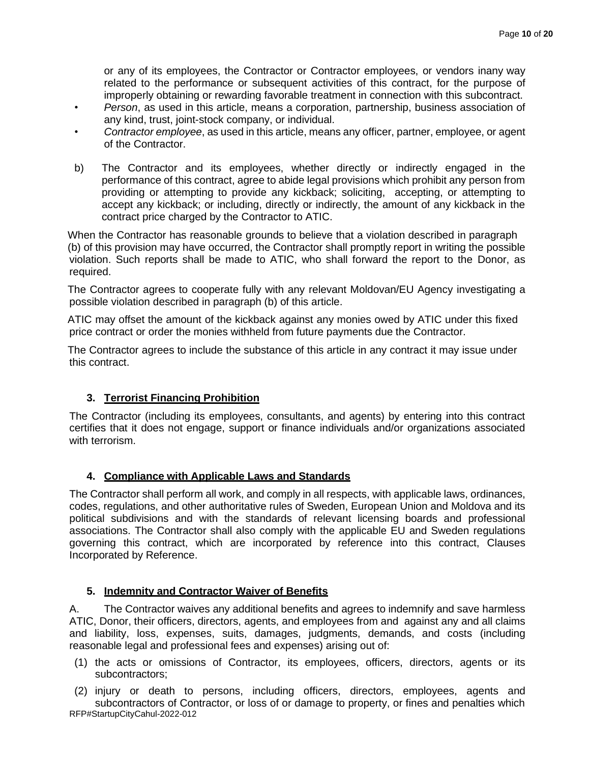or any of its employees, the Contractor or Contractor employees, or vendors inany way related to the performance or subsequent activities of this contract, for the purpose of improperly obtaining or rewarding favorable treatment in connection with this subcontract.

- *Person*, as used in this article, means a corporation, partnership, business association of any kind, trust, joint-stock company, or individual.
- *Contractor employee*, as used in this article, means any officer, partner, employee, or agent of the Contractor.
- b) The Contractor and its employees, whether directly or indirectly engaged in the performance of this contract, agree to abide legal provisions which prohibit any person from providing or attempting to provide any kickback; soliciting, accepting, or attempting to accept any kickback; or including, directly or indirectly, the amount of any kickback in the contract price charged by the Contractor to ATIC.

When the Contractor has reasonable grounds to believe that a violation described in paragraph (b) of this provision may have occurred, the Contractor shall promptly report in writing the possible violation. Such reports shall be made to ATIC, who shall forward the report to the Donor, as required.

The Contractor agrees to cooperate fully with any relevant Moldovan/EU Agency investigating a possible violation described in paragraph (b) of this article.

ATIC may offset the amount of the kickback against any monies owed by ATIC under this fixed price contract or order the monies withheld from future payments due the Contractor.

The Contractor agrees to include the substance of this article in any contract it may issue under this contract.

## **3. Terrorist Financing Prohibition**

The Contractor (including its employees, consultants, and agents) by entering into this contract certifies that it does not engage, support or finance individuals and/or organizations associated with terrorism.

## **4. Compliance with Applicable Laws and Standards**

The Contractor shall perform all work, and comply in all respects, with applicable laws, ordinances, codes, regulations, and other authoritative rules of Sweden, European Union and Moldova and its political subdivisions and with the standards of relevant licensing boards and professional associations. The Contractor shall also comply with the applicable EU and Sweden regulations governing this contract, which are incorporated by reference into this contract, Clauses Incorporated by Reference.

## **5. Indemnity and Contractor Waiver of Benefits**

A. The Contractor waives any additional benefits and agrees to indemnify and save harmless ATIC, Donor, their officers, directors, agents, and employees from and against any and all claims and liability, loss, expenses, suits, damages, judgments, demands, and costs (including reasonable legal and professional fees and expenses) arising out of:

(1) the acts or omissions of Contractor, its employees, officers, directors, agents or its subcontractors;

RFP#StartupCityCahul-2022-012 (2) injury or death to persons, including officers, directors, employees, agents and subcontractors of Contractor, or loss of or damage to property, or fines and penalties which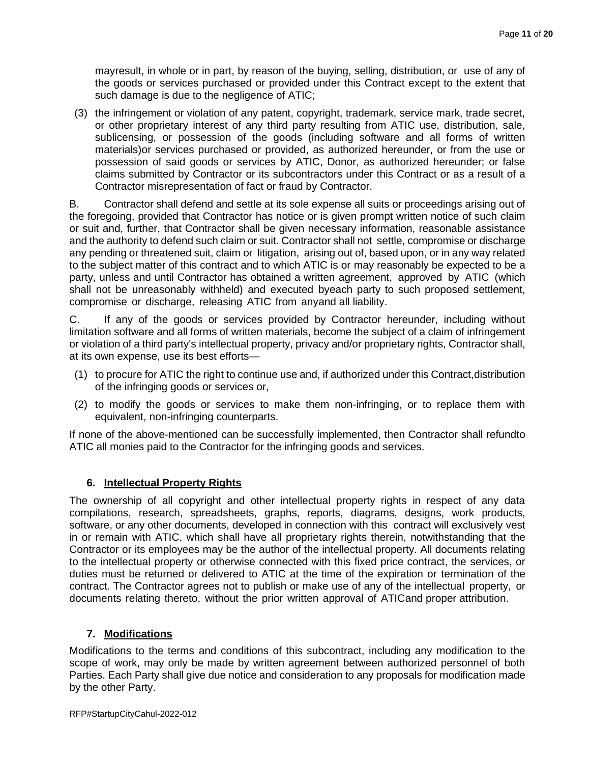mayresult, in whole or in part, by reason of the buying, selling, distribution, or use of any of the goods or services purchased or provided under this Contract except to the extent that such damage is due to the negligence of ATIC;

(3) the infringement or violation of any patent, copyright, trademark, service mark, trade secret, or other proprietary interest of any third party resulting from ATIC use, distribution, sale, sublicensing, or possession of the goods (including software and all forms of written materials)or services purchased or provided, as authorized hereunder, or from the use or possession of said goods or services by ATIC, Donor, as authorized hereunder; or false claims submitted by Contractor or its subcontractors under this Contract or as a result of a Contractor misrepresentation of fact or fraud by Contractor.

B. Contractor shall defend and settle at its sole expense all suits or proceedings arising out of the foregoing, provided that Contractor has notice or is given prompt written notice of such claim or suit and, further, that Contractor shall be given necessary information, reasonable assistance and the authority to defend such claim or suit. Contractor shall not settle, compromise or discharge any pending or threatened suit, claim or litigation, arising out of, based upon, or in any way related to the subject matter of this contract and to which ATIC is or may reasonably be expected to be a party, unless and until Contractor has obtained a written agreement, approved by ATIC (which shall not be unreasonably withheld) and executed byeach party to such proposed settlement, compromise or discharge, releasing ATIC from anyand all liability.

C. If any of the goods or services provided by Contractor hereunder, including without limitation software and all forms of written materials, become the subject of a claim of infringement or violation of a third party's intellectual property, privacy and/or proprietary rights, Contractor shall, at its own expense, use its best efforts—

- (1) to procure for ATIC the right to continue use and, if authorized under this Contract,distribution of the infringing goods or services or,
- (2) to modify the goods or services to make them non-infringing, or to replace them with equivalent, non-infringing counterparts.

If none of the above-mentioned can be successfully implemented, then Contractor shall refundto ATIC all monies paid to the Contractor for the infringing goods and services.

## **6. Intellectual Property Rights**

The ownership of all copyright and other intellectual property rights in respect of any data compilations, research, spreadsheets, graphs, reports, diagrams, designs, work products, software, or any other documents, developed in connection with this contract will exclusively vest in or remain with ATIC, which shall have all proprietary rights therein, notwithstanding that the Contractor or its employees may be the author of the intellectual property. All documents relating to the intellectual property or otherwise connected with this fixed price contract, the services, or duties must be returned or delivered to ATIC at the time of the expiration or termination of the contract. The Contractor agrees not to publish or make use of any of the intellectual property, or documents relating thereto, without the prior written approval of ATICand proper attribution.

## **7. Modifications**

Modifications to the terms and conditions of this subcontract, including any modification to the scope of work, may only be made by written agreement between authorized personnel of both Parties. Each Party shall give due notice and consideration to any proposals for modification made by the other Party.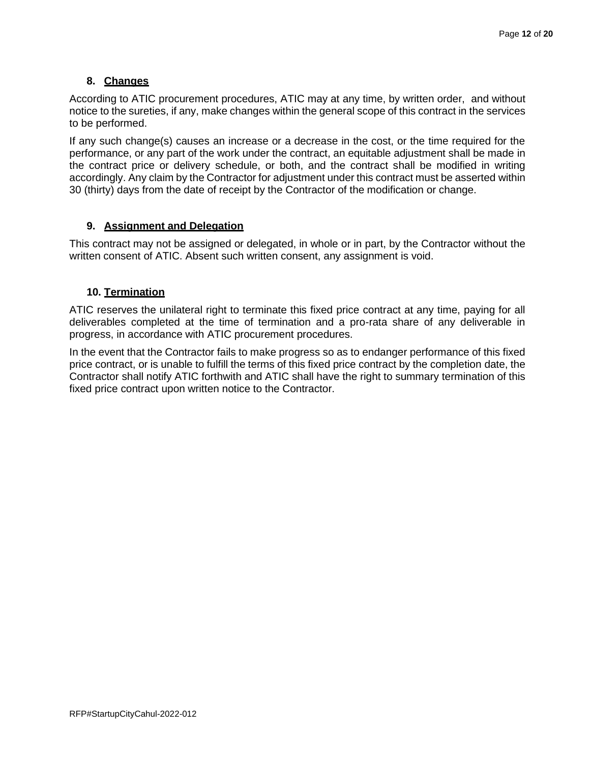## **8. Changes**

According to ATIC procurement procedures, ATIC may at any time, by written order, and without notice to the sureties, if any, make changes within the general scope of this contract in the services to be performed.

If any such change(s) causes an increase or a decrease in the cost, or the time required for the performance, or any part of the work under the contract, an equitable adjustment shall be made in the contract price or delivery schedule, or both, and the contract shall be modified in writing accordingly. Any claim by the Contractor for adjustment under this contract must be asserted within 30 (thirty) days from the date of receipt by the Contractor of the modification or change.

## **9. Assignment and Delegation**

This contract may not be assigned or delegated, in whole or in part, by the Contractor without the written consent of ATIC. Absent such written consent, any assignment is void.

## **10. Termination**

ATIC reserves the unilateral right to terminate this fixed price contract at any time, paying for all deliverables completed at the time of termination and a pro-rata share of any deliverable in progress, in accordance with ATIC procurement procedures.

In the event that the Contractor fails to make progress so as to endanger performance of this fixed price contract, or is unable to fulfill the terms of this fixed price contract by the completion date, the Contractor shall notify ATIC forthwith and ATIC shall have the right to summary termination of this fixed price contract upon written notice to the Contractor.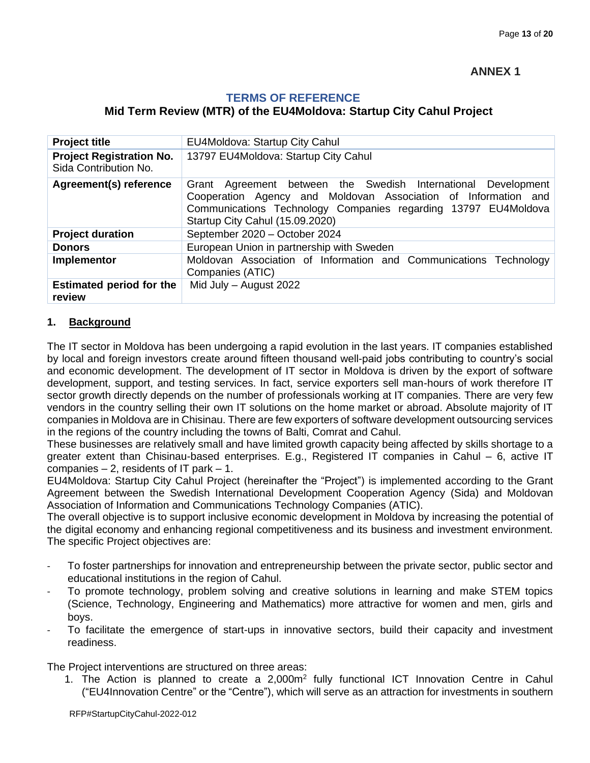## **TERMS OF REFERENCE**

## **Mid Term Review (MTR) of the EU4Moldova: Startup City Cahul Project**

| <b>Project title</b>                                     | EU4Moldova: Startup City Cahul                                                                                                                                                                                                       |
|----------------------------------------------------------|--------------------------------------------------------------------------------------------------------------------------------------------------------------------------------------------------------------------------------------|
| <b>Project Registration No.</b><br>Sida Contribution No. | 13797 EU4Moldova: Startup City Cahul                                                                                                                                                                                                 |
| <b>Agreement(s) reference</b>                            | Grant Agreement between the Swedish International Development<br>Cooperation Agency and Moldovan Association of Information and<br>Communications Technology Companies regarding 13797 EU4Moldova<br>Startup City Cahul (15.09.2020) |
| <b>Project duration</b>                                  | September 2020 - October 2024                                                                                                                                                                                                        |
| <b>Donors</b>                                            | European Union in partnership with Sweden                                                                                                                                                                                            |
| Implementor                                              | Moldovan Association of Information and Communications Technology<br>Companies (ATIC)                                                                                                                                                |
| <b>Estimated period for the</b><br>review                | Mid July - August 2022                                                                                                                                                                                                               |

## **1. Background**

The IT sector in Moldova has been undergoing a rapid evolution in the last years. IT companies established by local and foreign investors create around fifteen thousand well-paid jobs contributing to country's social and economic development. The development of IT sector in Moldova is driven by the export of software development, support, and testing services. In fact, service exporters sell man-hours of work therefore IT sector growth directly depends on the number of professionals working at IT companies. There are very few vendors in the country selling their own IT solutions on the home market or abroad. Absolute majority of IT companies in Moldova are in Chisinau. There are few exporters of software development outsourcing services in the regions of the country including the towns of Balti, Comrat and Cahul.

These businesses are relatively small and have limited growth capacity being affected by skills shortage to a greater extent than Chisinau-based enterprises. E.g., Registered IT companies in Cahul – 6, active IT companies  $-2$ , residents of IT park  $-1$ .

EU4Moldova: Startup City Cahul Project (hereinafter the "Project") is implemented according to the Grant Agreement between the Swedish International Development Cooperation Agency (Sida) and Moldovan Association of Information and Communications Technology Companies (ATIC).

The overall objective is to support inclusive economic development in Moldova by increasing the potential of the digital economy and enhancing regional competitiveness and its business and investment environment. The specific Project objectives are:

- To foster partnerships for innovation and entrepreneurship between the private sector, public sector and educational institutions in the region of Cahul.
- To promote technology, problem solving and creative solutions in learning and make STEM topics (Science, Technology, Engineering and Mathematics) more attractive for women and men, girls and boys.
- To facilitate the emergence of start-ups in innovative sectors, build their capacity and investment readiness.

The Project interventions are structured on three areas:

1. The Action is planned to create a 2,000m<sup>2</sup> fully functional ICT Innovation Centre in Cahul ("EU4Innovation Centre" or the "Centre"), which will serve as an attraction for investments in southern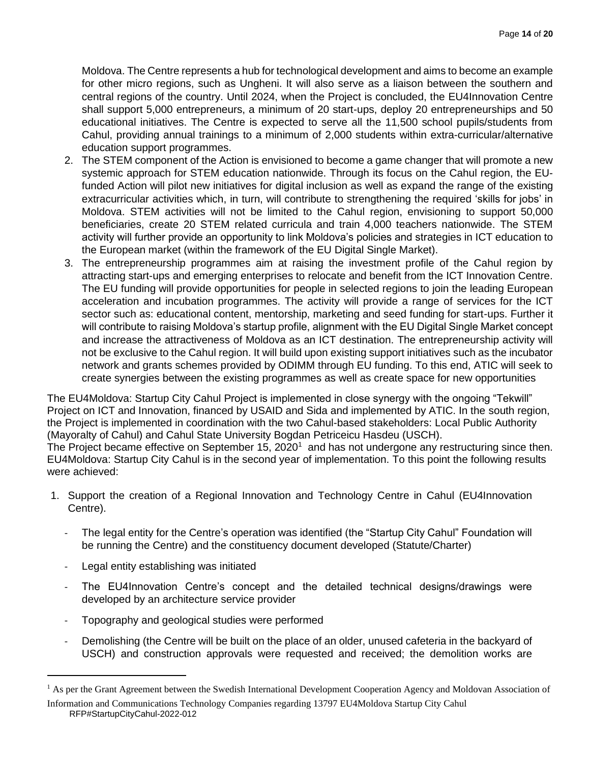Moldova. The Centre represents a hub for technological development and aims to become an example for other micro regions, such as Ungheni. It will also serve as a liaison between the southern and central regions of the country. Until 2024, when the Project is concluded, the EU4Innovation Centre shall support 5,000 entrepreneurs, a minimum of 20 start-ups, deploy 20 entrepreneurships and 50 educational initiatives. The Centre is expected to serve all the 11,500 school pupils/students from Cahul, providing annual trainings to a minimum of 2,000 students within extra-curricular/alternative education support programmes.

- 2. The STEM component of the Action is envisioned to become a game changer that will promote a new systemic approach for STEM education nationwide. Through its focus on the Cahul region, the EUfunded Action will pilot new initiatives for digital inclusion as well as expand the range of the existing extracurricular activities which, in turn, will contribute to strengthening the required 'skills for jobs' in Moldova. STEM activities will not be limited to the Cahul region, envisioning to support 50,000 beneficiaries, create 20 STEM related curricula and train 4,000 teachers nationwide. The STEM activity will further provide an opportunity to link Moldova's policies and strategies in ICT education to the European market (within the framework of the EU Digital Single Market).
- 3. The entrepreneurship programmes aim at raising the investment profile of the Cahul region by attracting start-ups and emerging enterprises to relocate and benefit from the ICT Innovation Centre. The EU funding will provide opportunities for people in selected regions to join the leading European acceleration and incubation programmes. The activity will provide a range of services for the ICT sector such as: educational content, mentorship, marketing and seed funding for start-ups. Further it will contribute to raising Moldova's startup profile, alignment with the EU Digital Single Market concept and increase the attractiveness of Moldova as an ICT destination. The entrepreneurship activity will not be exclusive to the Cahul region. It will build upon existing support initiatives such as the incubator network and grants schemes provided by ODIMM through EU funding. To this end, ATIC will seek to create synergies between the existing programmes as well as create space for new opportunities

The EU4Moldova: Startup City Cahul Project is implemented in close synergy with the ongoing "Tekwill" Project on ICT and Innovation, financed by USAID and Sida and implemented by ATIC. In the south region, the Project is implemented in coordination with the two Cahul-based stakeholders: Local Public Authority (Mayoralty of Cahul) and Cahul State University Bogdan Petriceicu Hasdeu (USCH).

The Project became effective on September 15, 2020<sup>1</sup> and has not undergone any restructuring since then. EU4Moldova: Startup City Cahul is in the second year of implementation. To this point the following results were achieved:

- 1. Support the creation of a Regional Innovation and Technology Centre in Cahul (EU4Innovation Centre).
	- The legal entity for the Centre's operation was identified (the "Startup City Cahul" Foundation will be running the Centre) and the constituency document developed (Statute/Charter)
	- Legal entity establishing was initiated
	- The EU4Innovation Centre's concept and the detailed technical designs/drawings were developed by an architecture service provider
	- Topography and geological studies were performed
	- Demolishing (the Centre will be built on the place of an older, unused cafeteria in the backyard of USCH) and construction approvals were requested and received; the demolition works are

RFP#StartupCityCahul-2022-012 <sup>1</sup> As per the Grant Agreement between the Swedish International Development Cooperation Agency and Moldovan Association of Information and Communications Technology Companies regarding 13797 EU4Moldova Startup City Cahul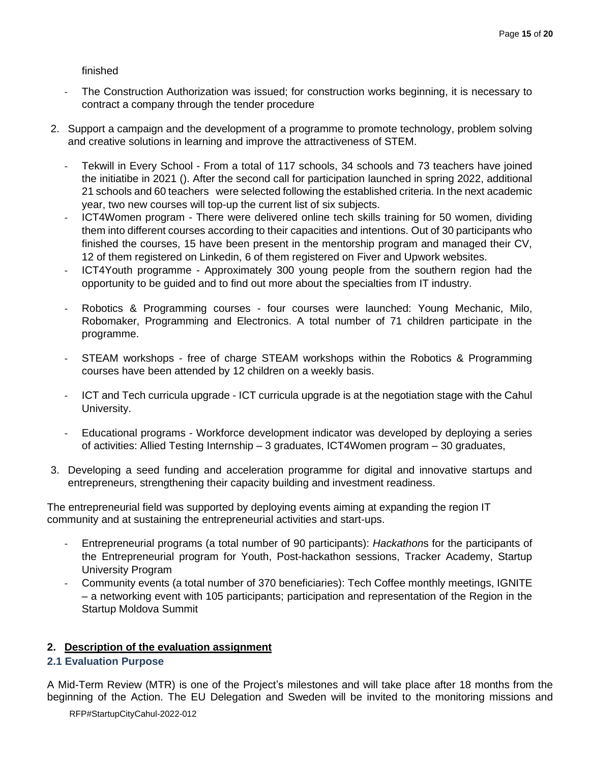### finished

- The Construction Authorization was issued; for construction works beginning, it is necessary to contract a company through the tender procedure
- 2. Support a campaign and the development of a programme to promote technology, problem solving and creative solutions in learning and improve the attractiveness of STEM.
	- Tekwill in Every School From a total of 117 schools, 34 schools and 73 teachers have joined the initiatibe in 2021 (). After the second call for participation launched in spring 2022, additional 21 schools and 60 teachers were selected following the established criteria. In the next academic year, two new courses will top-up the current list of six subjects.
	- ICT4Women program There were delivered online tech skills training for 50 women, dividing them into different courses according to their capacities and intentions. Out of 30 participants who finished the courses, 15 have been present in the mentorship program and managed their CV, 12 of them registered on Linkedin, 6 of them registered on Fiver and Upwork websites.
	- ICT4Youth programme Approximately 300 young people from the southern region had the opportunity to be guided and to find out more about the specialties from IT industry.
	- Robotics & Programming courses four courses were launched: Young Mechanic, Milo, Robomaker, Programming and Electronics. A total number of 71 children participate in the programme.
	- STEAM workshops free of charge STEAM workshops within the Robotics & Programming courses have been attended by 12 children on a weekly basis.
	- ICT and Tech curricula upgrade ICT curricula upgrade is at the negotiation stage with the Cahul University.
	- Educational programs Workforce development indicator was developed by deploying a series of activities: Allied Testing Internship – 3 graduates, ICT4Women program – 30 graduates,
- 3. Developing a seed funding and acceleration programme for digital and innovative startups and entrepreneurs, strengthening their capacity building and investment readiness.

The entrepreneurial field was supported by deploying events aiming at expanding the region IT community and at sustaining the entrepreneurial activities and start-ups.

- Entrepreneurial programs (a total number of 90 participants): *Hackathon*s for the participants of the Entrepreneurial program for Youth, Post-hackathon sessions, Tracker Academy, Startup University Program
- Community events (a total number of 370 beneficiaries): Tech Coffee monthly meetings, IGNITE – a networking event with 105 participants; participation and representation of the Region in the Startup Moldova Summit

## **2. Description of the evaluation assignment**

## **2.1 Evaluation Purpose**

A Mid-Term Review (MTR) is one of the Project's milestones and will take place after 18 months from the beginning of the Action. The EU Delegation and Sweden will be invited to the monitoring missions and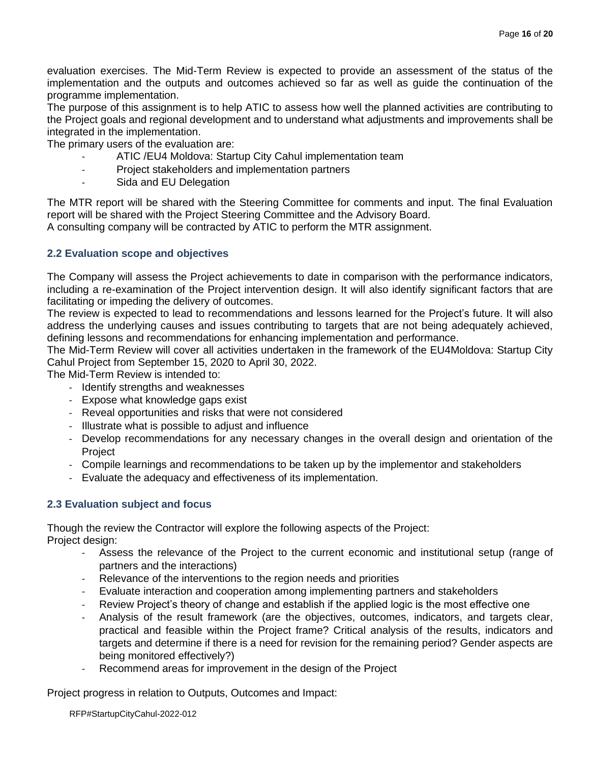evaluation exercises. The Mid-Term Review is expected to provide an assessment of the status of the implementation and the outputs and outcomes achieved so far as well as guide the continuation of the programme implementation.

The purpose of this assignment is to help ATIC to assess how well the planned activities are contributing to the Project goals and regional development and to understand what adjustments and improvements shall be integrated in the implementation.

The primary users of the evaluation are:

- ATIC / EU4 Moldova: Startup City Cahul implementation team
- Project stakeholders and implementation partners
- Sida and EU Delegation

The MTR report will be shared with the Steering Committee for comments and input. The final Evaluation report will be shared with the Project Steering Committee and the Advisory Board. A consulting company will be contracted by ATIC to perform the MTR assignment.

### **2.2 Evaluation scope and objectives**

The Company will assess the Project achievements to date in comparison with the performance indicators, including a re-examination of the Project intervention design. It will also identify significant factors that are facilitating or impeding the delivery of outcomes.

The review is expected to lead to recommendations and lessons learned for the Project's future. It will also address the underlying causes and issues contributing to targets that are not being adequately achieved, defining lessons and recommendations for enhancing implementation and performance.

The Mid-Term Review will cover all activities undertaken in the framework of the EU4Moldova: Startup City Cahul Project from September 15, 2020 to April 30, 2022.

The Mid-Term Review is intended to:

- Identify strengths and weaknesses
- Expose what knowledge gaps exist
- Reveal opportunities and risks that were not considered
- Illustrate what is possible to adjust and influence
- Develop recommendations for any necessary changes in the overall design and orientation of the **Project**
- Compile learnings and recommendations to be taken up by the implementor and stakeholders
- Evaluate the adequacy and effectiveness of its implementation.

## **2.3 Evaluation subject and focus**

Though the review the Contractor will explore the following aspects of the Project: Project design:

- Assess the relevance of the Project to the current economic and institutional setup (range of partners and the interactions)
- Relevance of the interventions to the region needs and priorities
- Evaluate interaction and cooperation among implementing partners and stakeholders
- Review Project's theory of change and establish if the applied logic is the most effective one
- Analysis of the result framework (are the objectives, outcomes, indicators, and targets clear, practical and feasible within the Project frame? Critical analysis of the results, indicators and targets and determine if there is a need for revision for the remaining period? Gender aspects are being monitored effectively?)
- Recommend areas for improvement in the design of the Project

Project progress in relation to Outputs, Outcomes and Impact: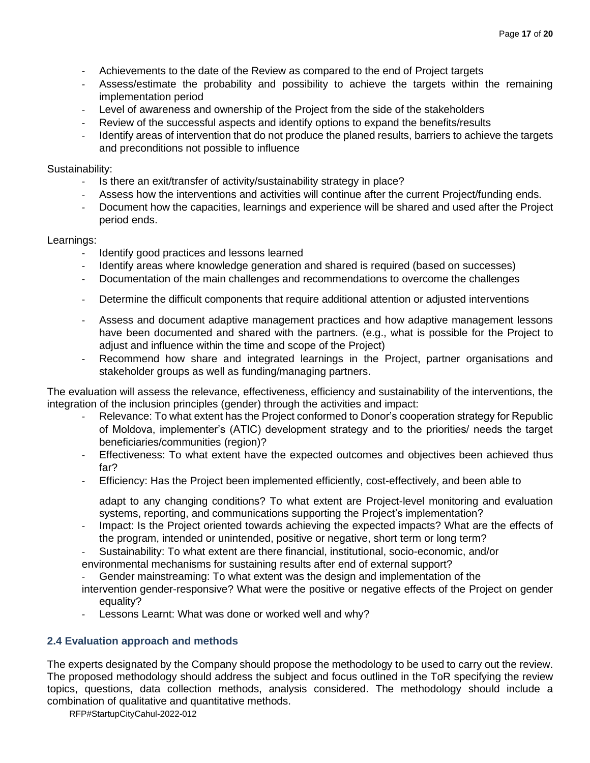- Achievements to the date of the Review as compared to the end of Project targets
- Assess/estimate the probability and possibility to achieve the targets within the remaining implementation period
- Level of awareness and ownership of the Project from the side of the stakeholders
- Review of the successful aspects and identify options to expand the benefits/results
- Identify areas of intervention that do not produce the planed results, barriers to achieve the targets and preconditions not possible to influence

### Sustainability:

- Is there an exit/transfer of activity/sustainability strategy in place?
- Assess how the interventions and activities will continue after the current Project/funding ends.
- Document how the capacities, learnings and experience will be shared and used after the Project period ends.

### Learnings:

- Identify good practices and lessons learned
- Identify areas where knowledge generation and shared is required (based on successes)
- Documentation of the main challenges and recommendations to overcome the challenges
- Determine the difficult components that require additional attention or adjusted interventions
- Assess and document adaptive management practices and how adaptive management lessons have been documented and shared with the partners. (e.g., what is possible for the Project to adjust and influence within the time and scope of the Project)
- Recommend how share and integrated learnings in the Project, partner organisations and stakeholder groups as well as funding/managing partners.

The evaluation will assess the relevance, effectiveness, efficiency and sustainability of the interventions, the integration of the inclusion principles (gender) through the activities and impact:

- Relevance: To what extent has the Project conformed to Donor's cooperation strategy for Republic of Moldova, implementer's (ATIC) development strategy and to the priorities/ needs the target beneficiaries/communities (region)?
- Effectiveness: To what extent have the expected outcomes and objectives been achieved thus far?
- Efficiency: Has the Project been implemented efficiently, cost-effectively, and been able to

adapt to any changing conditions? To what extent are Project-level monitoring and evaluation systems, reporting, and communications supporting the Project's implementation?

- Impact: Is the Project oriented towards achieving the expected impacts? What are the effects of the program, intended or unintended, positive or negative, short term or long term?
- Sustainability: To what extent are there financial, institutional, socio-economic, and/or environmental mechanisms for sustaining results after end of external support?
- Gender mainstreaming: To what extent was the design and implementation of the
- intervention gender-responsive? What were the positive or negative effects of the Project on gender equality?
- Lessons Learnt: What was done or worked well and why?

## **2.4 Evaluation approach and methods**

The experts designated by the Company should propose the methodology to be used to carry out the review. The proposed methodology should address the subject and focus outlined in the ToR specifying the review topics, questions, data collection methods, analysis considered. The methodology should include a combination of qualitative and quantitative methods.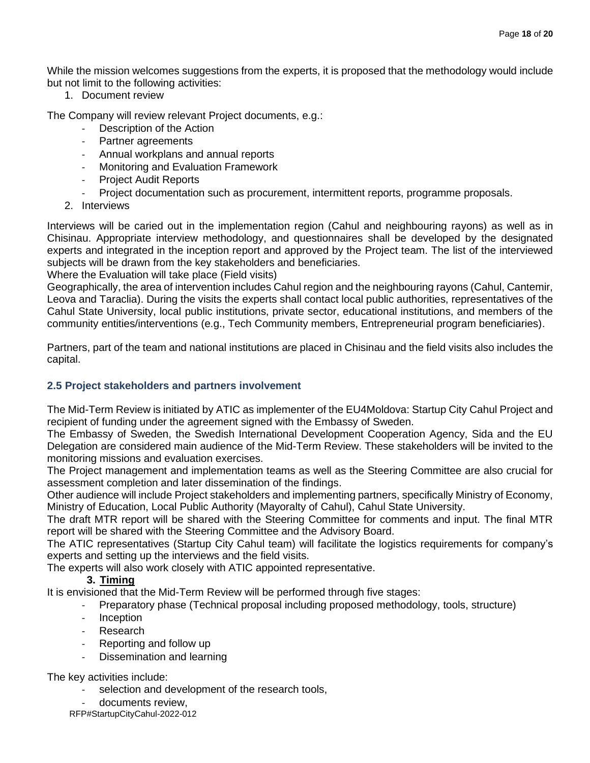While the mission welcomes suggestions from the experts, it is proposed that the methodology would include but not limit to the following activities:

1. Document review

The Company will review relevant Project documents, e.g.:

- Description of the Action
- Partner agreements
- Annual workplans and annual reports
- Monitoring and Evaluation Framework
- Project Audit Reports
- Project documentation such as procurement, intermittent reports, programme proposals.
- 2. Interviews

Interviews will be caried out in the implementation region (Cahul and neighbouring rayons) as well as in Chisinau. Appropriate interview methodology, and questionnaires shall be developed by the designated experts and integrated in the inception report and approved by the Project team. The list of the interviewed subjects will be drawn from the key stakeholders and beneficiaries.

Where the Evaluation will take place (Field visits)

Geographically, the area of intervention includes Cahul region and the neighbouring rayons (Cahul, Cantemir, Leova and Taraclia). During the visits the experts shall contact local public authorities, representatives of the Cahul State University, local public institutions, private sector, educational institutions, and members of the community entities/interventions (e.g., Tech Community members, Entrepreneurial program beneficiaries).

Partners, part of the team and national institutions are placed in Chisinau and the field visits also includes the capital.

## **2.5 Project stakeholders and partners involvement**

The Mid-Term Review is initiated by ATIC as implementer of the EU4Moldova: Startup City Cahul Project and recipient of funding under the agreement signed with the Embassy of Sweden.

The Embassy of Sweden, the Swedish International Development Cooperation Agency, Sida and the EU Delegation are considered main audience of the Mid-Term Review. These stakeholders will be invited to the monitoring missions and evaluation exercises.

The Project management and implementation teams as well as the Steering Committee are also crucial for assessment completion and later dissemination of the findings.

Other audience will include Project stakeholders and implementing partners, specifically Ministry of Economy, Ministry of Education, Local Public Authority (Mayoralty of Cahul), Cahul State University.

The draft MTR report will be shared with the Steering Committee for comments and input. The final MTR report will be shared with the Steering Committee and the Advisory Board.

The ATIC representatives (Startup City Cahul team) will facilitate the logistics requirements for company's experts and setting up the interviews and the field visits.

The experts will also work closely with ATIC appointed representative.

## **3. Timing**

It is envisioned that the Mid-Term Review will be performed through five stages:

- Preparatory phase (Technical proposal including proposed methodology, tools, structure)
- Inception
- **Research**
- Reporting and follow up
- Dissemination and learning

The key activities include:

- selection and development of the research tools,
- documents review.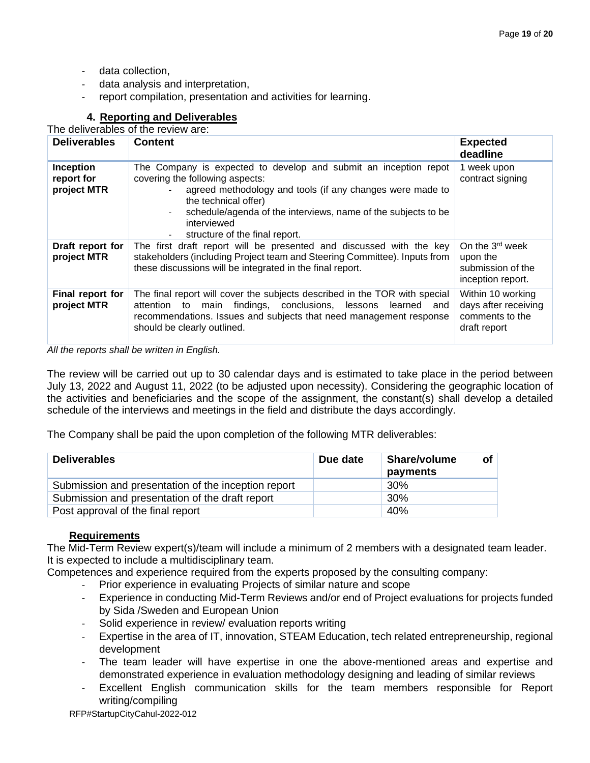- data collection,
- data analysis and interpretation,
- report compilation, presentation and activities for learning.

## **4. Reporting and Deliverables**

The deliverables of the review are:

| <b>Deliverables</b>                    | <b>Content</b>                                                                                                                                                                                                                                                                                                                                                     | <b>Expected</b><br>deadline                                                       |
|----------------------------------------|--------------------------------------------------------------------------------------------------------------------------------------------------------------------------------------------------------------------------------------------------------------------------------------------------------------------------------------------------------------------|-----------------------------------------------------------------------------------|
| Inception<br>report for<br>project MTR | The Company is expected to develop and submit an inception repot<br>covering the following aspects:<br>agreed methodology and tools (if any changes were made to<br>the technical offer)<br>schedule/agenda of the interviews, name of the subjects to be<br>$\overline{\phantom{0}}$<br>interviewed<br>structure of the final report.<br>$\overline{\phantom{a}}$ | 1 week upon<br>contract signing                                                   |
| Draft report for<br>project MTR        | The first draft report will be presented and discussed with the key<br>stakeholders (including Project team and Steering Committee). Inputs from<br>these discussions will be integrated in the final report.                                                                                                                                                      | On the 3 <sup>rd</sup> week<br>upon the<br>submission of the<br>inception report. |
| Final report for<br>project MTR        | The final report will cover the subjects described in the TOR with special<br>findings, conclusions, lessons learned and<br>attention to<br>main<br>recommendations. Issues and subjects that need management response<br>should be clearly outlined.                                                                                                              | Within 10 working<br>days after receiving<br>comments to the<br>draft report      |

*All the reports shall be written in English.*

The review will be carried out up to 30 calendar days and is estimated to take place in the period between July 13, 2022 and August 11, 2022 (to be adjusted upon necessity). Considering the geographic location of the activities and beneficiaries and the scope of the assignment, the constant(s) shall develop a detailed schedule of the interviews and meetings in the field and distribute the days accordingly.

The Company shall be paid the upon completion of the following MTR deliverables:

| <b>Deliverables</b>                                 | Due date | Share/volume<br>payments | οf |
|-----------------------------------------------------|----------|--------------------------|----|
| Submission and presentation of the inception report |          | 30%                      |    |
| Submission and presentation of the draft report     |          | 30%                      |    |
| Post approval of the final report                   |          | 40%                      |    |

## **Requirements**

The Mid-Term Review expert(s)/team will include a minimum of 2 members with a designated team leader. It is expected to include a multidisciplinary team.

Competences and experience required from the experts proposed by the consulting company:

- Prior experience in evaluating Projects of similar nature and scope
- Experience in conducting Mid-Term Reviews and/or end of Project evaluations for projects funded by Sida /Sweden and European Union
- Solid experience in review/ evaluation reports writing
- Expertise in the area of IT, innovation, STEAM Education, tech related entrepreneurship, regional development
- The team leader will have expertise in one the above-mentioned areas and expertise and demonstrated experience in evaluation methodology designing and leading of similar reviews
- Excellent English communication skills for the team members responsible for Report writing/compiling